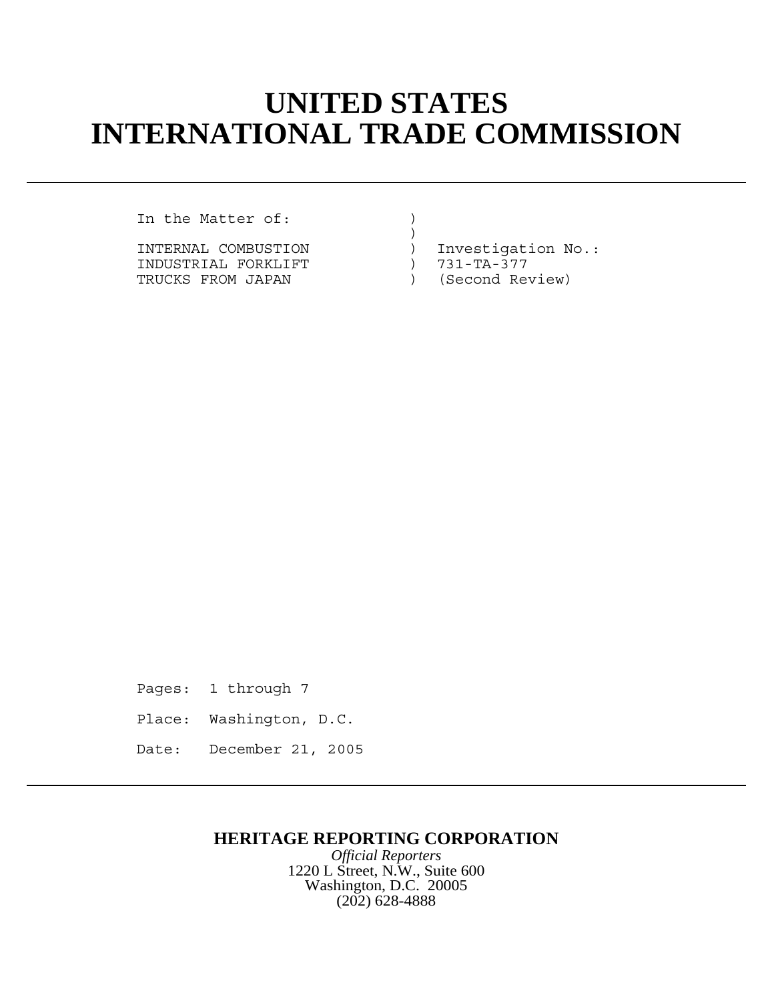## **UNITED STATES INTERNATIONAL TRADE COMMISSION**

In the Matter of:  $\qquad \qquad$  )

INDUSTRIAL FORKLIFT  $T = 731-TA-377$ <br>TRUCKS FROM JAPAN (Second Review) TRUCKS FROM JAPAN (SECOND REVIEW)

 $)$ INTERNAL COMBUSTION  $\qquad \qquad$  ) Investigation No.:<br>INDUSTRIAL FORKLIFT  $\qquad \qquad$  ) 731-TA-377

Pages: 1 through 7 Place: Washington, D.C. Date: December 21, 2005

## **HERITAGE REPORTING CORPORATION**

*Official Reporters* 1220 L Street, N.W., Suite 600 Washington, D.C. 20005 (202) 628-4888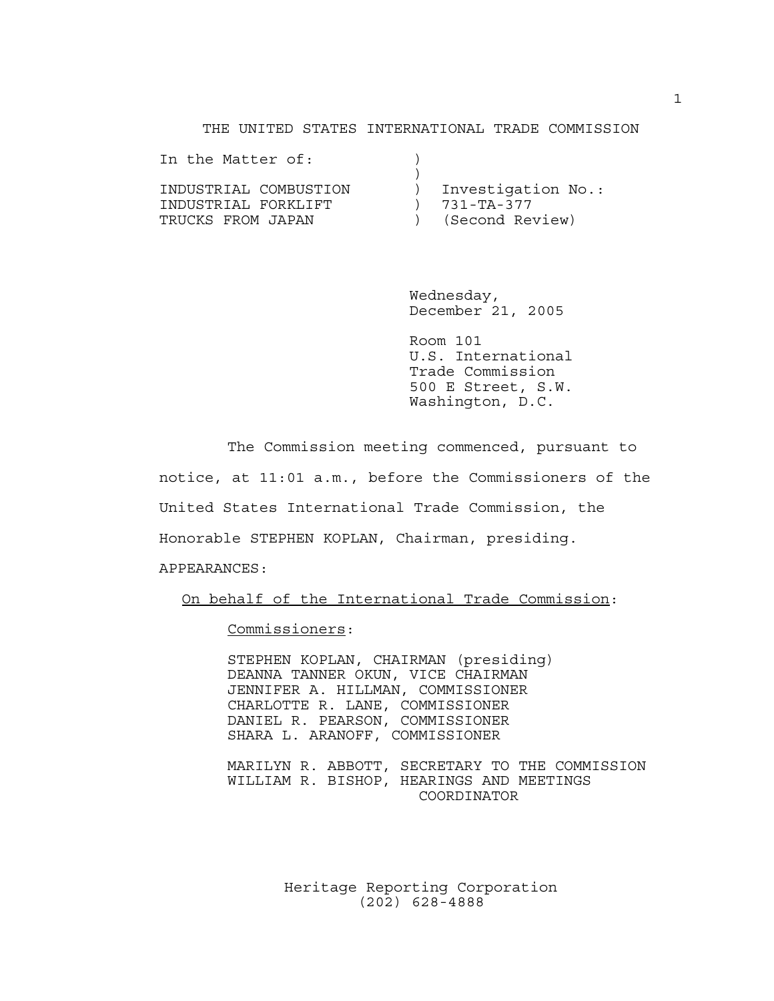## THE UNITED STATES INTERNATIONAL TRADE COMMISSION

| In the Matter of:     |                    |
|-----------------------|--------------------|
| INDUSTRIAL COMBUSTION | Investigation No.: |
| INDUSTRIAL FORKLIFT   | $) 731 - TA - 377$ |
| TRUCKS FROM JAPAN     | ) (Second Review)  |

Wednesday, December 21, 2005

Room 101 U.S. International Trade Commission 500 E Street, S.W. Washington, D.C.

The Commission meeting commenced, pursuant to notice, at 11:01 a.m., before the Commissioners of the United States International Trade Commission, the Honorable STEPHEN KOPLAN, Chairman, presiding. APPEARANCES:

On behalf of the International Trade Commission:

Commissioners:

STEPHEN KOPLAN, CHAIRMAN (presiding) DEANNA TANNER OKUN, VICE CHAIRMAN JENNIFER A. HILLMAN, COMMISSIONER CHARLOTTE R. LANE, COMMISSIONER DANIEL R. PEARSON, COMMISSIONER SHARA L. ARANOFF, COMMISSIONER

MARILYN R. ABBOTT, SECRETARY TO THE COMMISSION WILLIAM R. BISHOP, HEARINGS AND MEETINGS COORDINATOR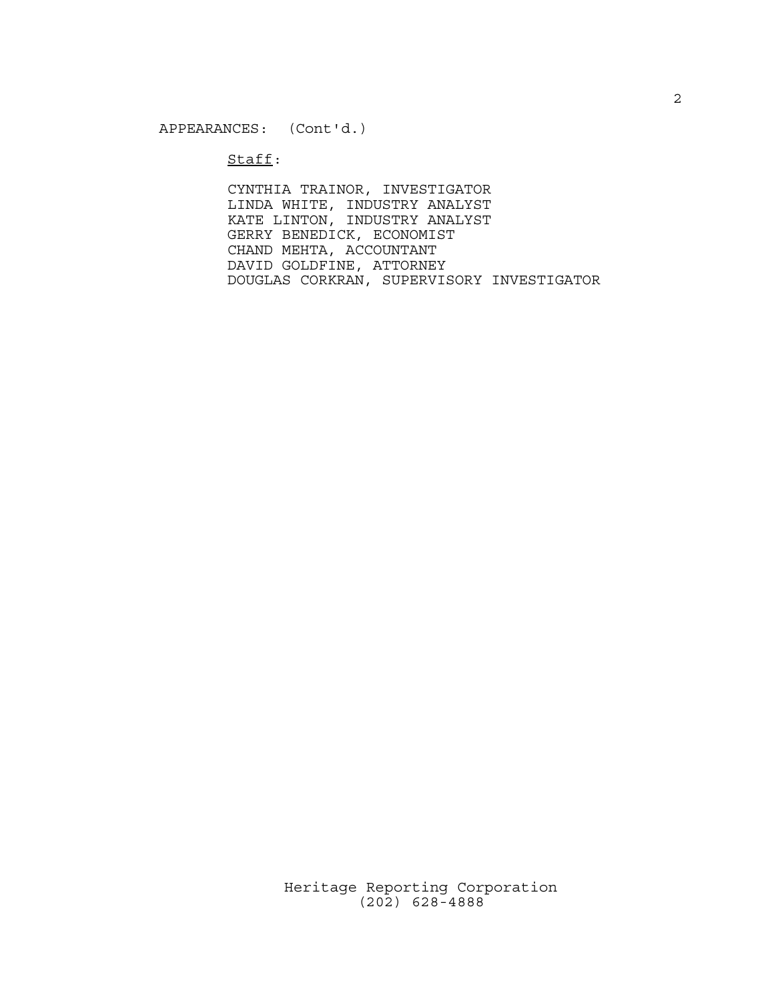$Stat:$ 

CYNTHIA TRAINOR, INVESTIGATOR LINDA WHITE, INDUSTRY ANALYST KATE LINTON, INDUSTRY ANALYST GERRY BENEDICK, ECONOMIST CHAND MEHTA, ACCOUNTANT DAVID GOLDFINE, ATTORNEY DOUGLAS CORKRAN, SUPERVISORY INVESTIGATOR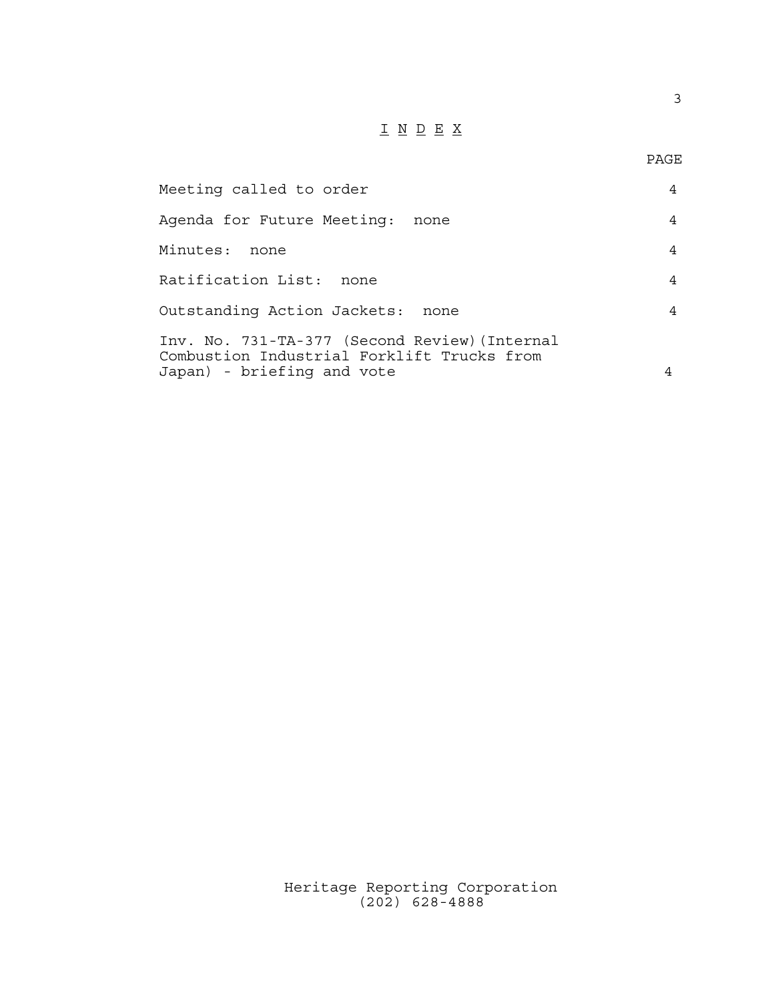## $\underline{\texttt{I}} \underline{\texttt{N}} \underline{\texttt{D}} \underline{\texttt{E}} \underline{\texttt{X}}$

3

| Meeting called to order                                                                                                   |      | 4              |
|---------------------------------------------------------------------------------------------------------------------------|------|----------------|
| Agenda for Future Meeting:                                                                                                | none | $\overline{4}$ |
| Minutes:<br>none                                                                                                          |      | $\overline{4}$ |
| Ratification List:<br>none                                                                                                |      | $\overline{4}$ |
| Outstanding Action Jackets:                                                                                               | none | $\overline{4}$ |
| Inv. No. 731-TA-377 (Second Review) (Internal<br>Combustion Industrial Forklift Trucks from<br>Japan) - briefing and vote |      | 4              |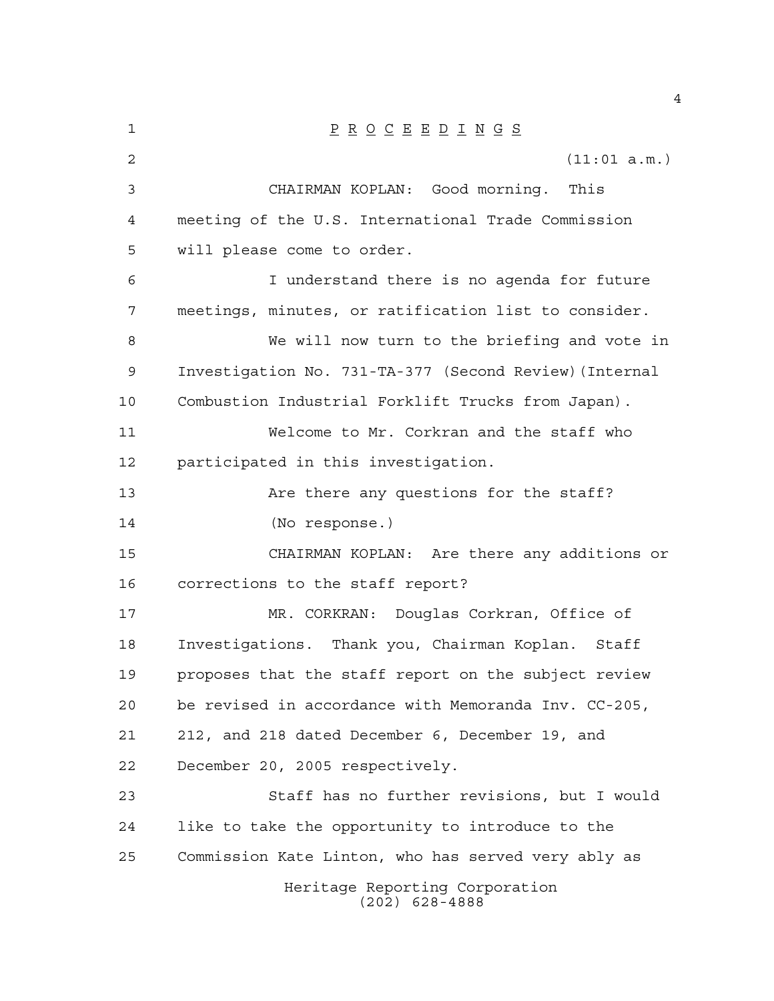| $\mathbf 1$    | $\underline{P} \underline{R} \underline{O} \underline{C} \underline{E} \underline{E} \underline{D} \underline{I} \underline{N} \underline{G} \underline{S}$ |
|----------------|-------------------------------------------------------------------------------------------------------------------------------------------------------------|
| $\overline{2}$ | (11:01 a.m.)                                                                                                                                                |
| $\mathfrak{Z}$ | CHAIRMAN KOPLAN: Good morning.<br>This                                                                                                                      |
| 4              | meeting of the U.S. International Trade Commission                                                                                                          |
| 5              | will please come to order.                                                                                                                                  |
| 6              | I understand there is no agenda for future                                                                                                                  |
| 7              | meetings, minutes, or ratification list to consider.                                                                                                        |
| 8              | We will now turn to the briefing and vote in                                                                                                                |
| 9              | Investigation No. 731-TA-377 (Second Review) (Internal                                                                                                      |
| 10             | Combustion Industrial Forklift Trucks from Japan).                                                                                                          |
| 11             | Welcome to Mr. Corkran and the staff who                                                                                                                    |
| 12             | participated in this investigation.                                                                                                                         |
| 13             | Are there any questions for the staff?                                                                                                                      |
| 14             | (No response.)                                                                                                                                              |
| 15             | CHAIRMAN KOPLAN: Are there any additions or                                                                                                                 |
| 16             | corrections to the staff report?                                                                                                                            |
| 17             | MR. CORKRAN:<br>Douglas Corkran, Office of                                                                                                                  |
| 18             | Investigations. Thank you, Chairman Koplan. Staff                                                                                                           |
| 19             | proposes that the staff report on the subject review                                                                                                        |
| 20             | be revised in accordance with Memoranda Inv. CC-205,                                                                                                        |
| 21             | 212, and 218 dated December 6, December 19, and                                                                                                             |
| 22             | December 20, 2005 respectively.                                                                                                                             |
| 23             | Staff has no further revisions, but I would                                                                                                                 |
| 24             | like to take the opportunity to introduce to the                                                                                                            |
| 25             | Commission Kate Linton, who has served very ably as                                                                                                         |
|                | Heritage Reporting Corporation<br>$(202)$ 628-4888                                                                                                          |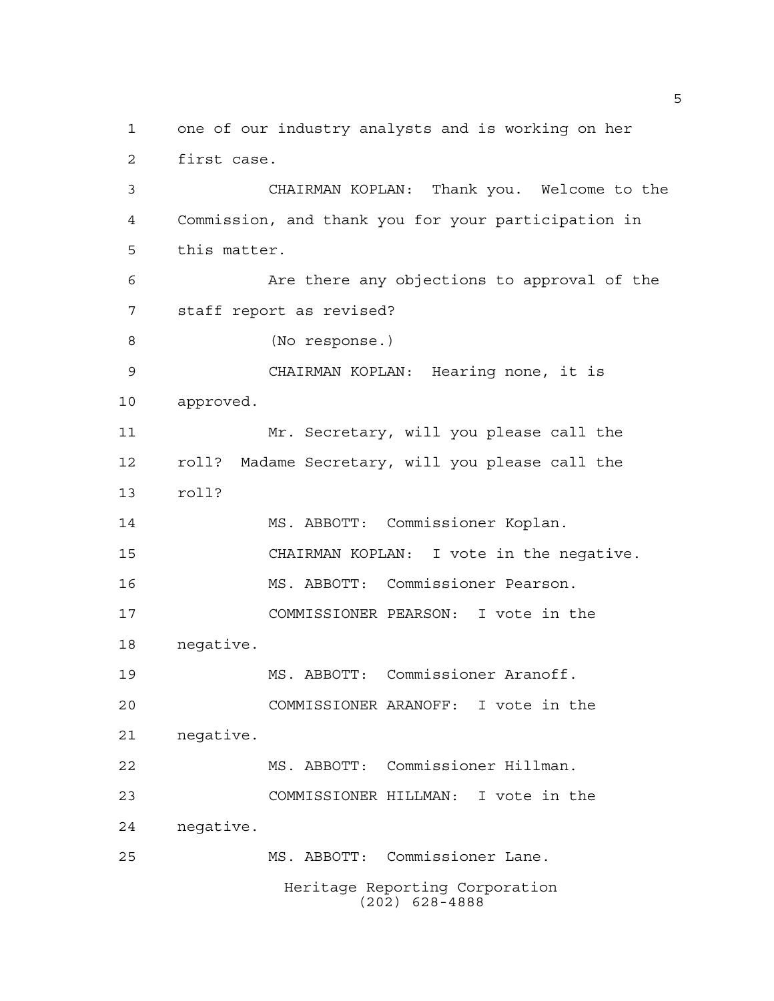Heritage Reporting Corporation (202) 628-4888 one of our industry analysts and is working on her first case. CHAIRMAN KOPLAN: Thank you. Welcome to the Commission, and thank you for your participation in this matter. Are there any objections to approval of the staff report as revised? (No response.) CHAIRMAN KOPLAN: Hearing none, it is approved. Mr. Secretary, will you please call the roll? Madame Secretary, will you please call the roll? MS. ABBOTT: Commissioner Koplan. CHAIRMAN KOPLAN: I vote in the negative. MS. ABBOTT: Commissioner Pearson. COMMISSIONER PEARSON: I vote in the negative. MS. ABBOTT: Commissioner Aranoff. COMMISSIONER ARANOFF: I vote in the negative. MS. ABBOTT: Commissioner Hillman. COMMISSIONER HILLMAN: I vote in the negative. MS. ABBOTT: Commissioner Lane.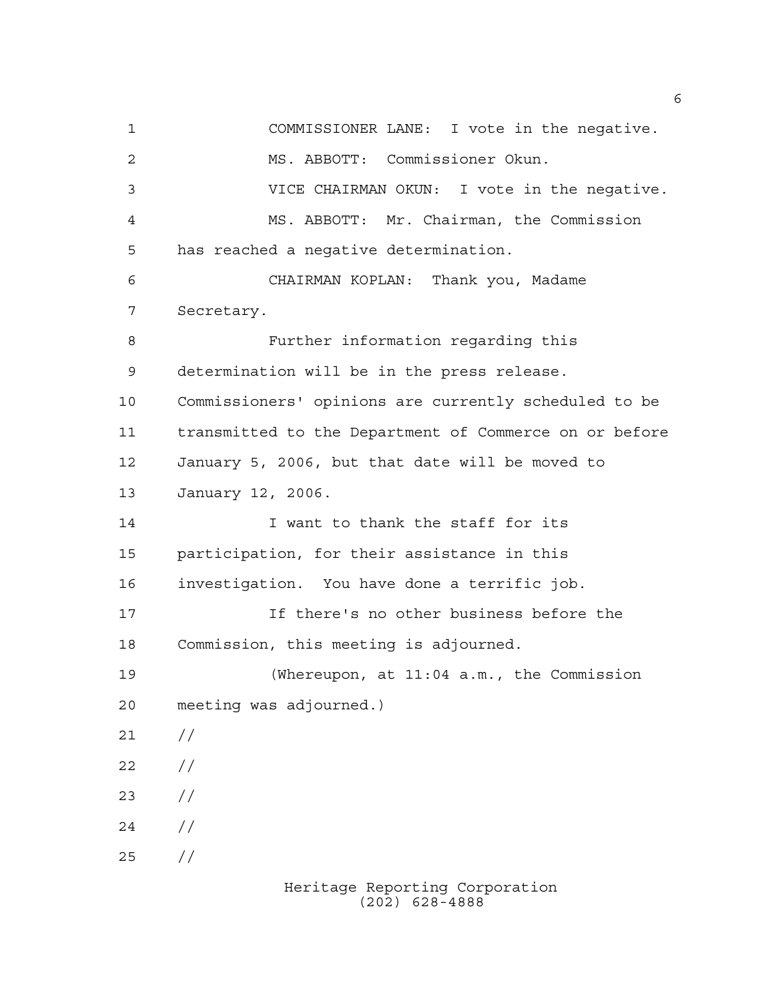COMMISSIONER LANE: I vote in the negative. MS. ABBOTT: Commissioner Okun. VICE CHAIRMAN OKUN: I vote in the negative. MS. ABBOTT: Mr. Chairman, the Commission has reached a negative determination. CHAIRMAN KOPLAN: Thank you, Madame Secretary. Further information regarding this determination will be in the press release. Commissioners' opinions are currently scheduled to be transmitted to the Department of Commerce on or before January 5, 2006, but that date will be moved to January 12, 2006. I want to thank the staff for its participation, for their assistance in this investigation. You have done a terrific job. If there's no other business before the Commission, this meeting is adjourned. (Whereupon, at 11:04 a.m., the Commission meeting was adjourned.)  $21 /$  $22 / /$  $23 / /$  $24 /$ //